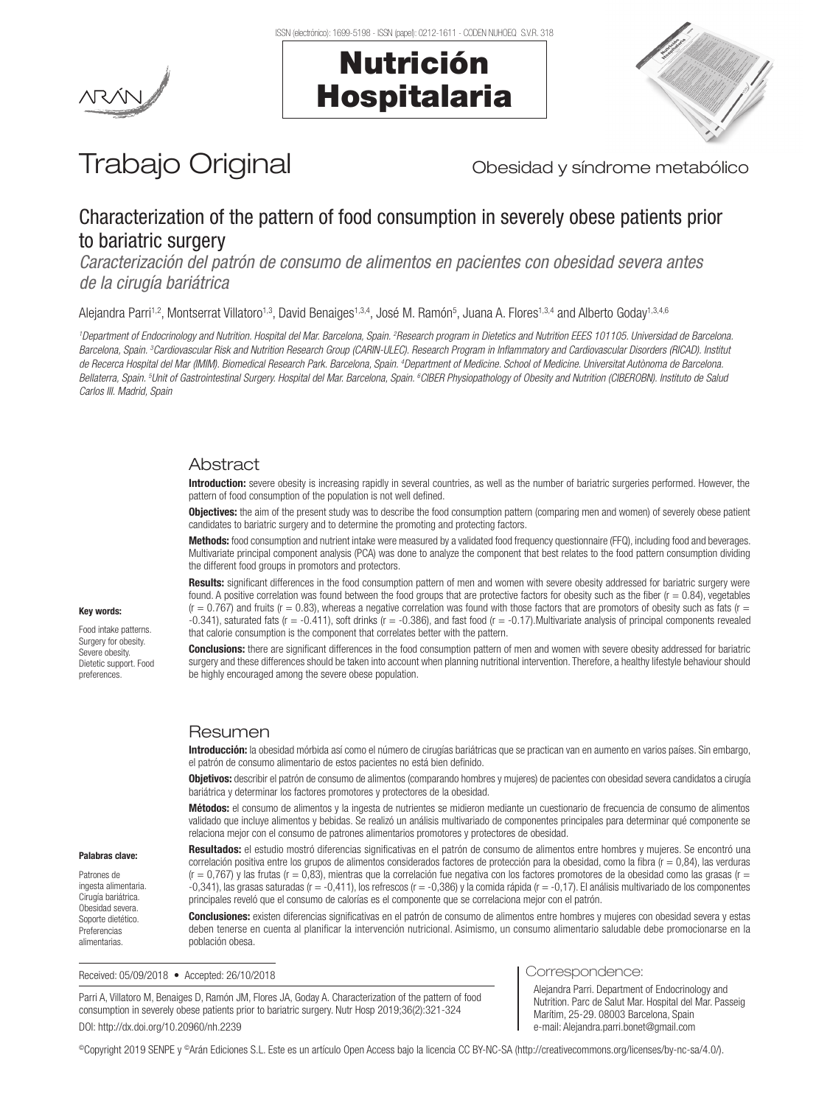





# Trabajo Original **Trabajo Original** Obesidad y síndrome metabólico

# Characterization of the pattern of food consumption in severely obese patients prior to bariatric surgery

*Caracterización del patrón de consumo de alimentos en pacientes con obesidad severa antes de la cirugía bariátrica*

Alejandra Parri<sup>1,2</sup>, Montserrat Villatoro<sup>1,3</sup>, David Benaiges<sup>1,3,4</sup>, José M. Ramón<sup>5</sup>, Juana A. Flores<sup>1,3,4</sup> and Alberto Goday<sup>1,3,4,6</sup>

<sup>1</sup>Department of Endocrinology and Nutrition. Hospital del Mar. Barcelona, Spain. <sup>2</sup>Research program in Dietetics and Nutrition EEES 101105. Universidad de Barcelona. *Barcelona, Spain. 3 Cardiovascular Risk and Nutrition Research Group (CARIN-ULEC). Research Program in Inflammatory and Cardiovascular Disorders (RICAD). Institut*  de Recerca Hospital del Mar (IMIM). Biomedical Research Park. Barcelona, Spain. <sup>4</sup>Department of Medicine. School of Medicine. Universitat Autònoma de Barcelona. Bellaterra, Spain. <sup>s</sup>Unit of Gastrointestinal Surgery. Hospital del Mar. Barcelona, Spain. <sup>s</sup>CIBER Physiopathology of Obesity and Nutrition (CIBEROBN). Instituto de Salud *Carlos III. Madrid, Spain* 

## **Abstract**

Introduction: severe obesity is increasing rapidly in several countries, as well as the number of bariatric surgeries performed. However, the pattern of food consumption of the population is not well defined.

**Objectives:** the aim of the present study was to describe the food consumption pattern (comparing men and women) of severely obese patient candidates to bariatric surgery and to determine the promoting and protecting factors.

Methods: food consumption and nutrient intake were measured by a validated food frequency questionnaire (FFQ), including food and beverages. Multivariate principal component analysis (PCA) was done to analyze the component that best relates to the food pattern consumption dividing the different food groups in promotors and protectors.

Results: significant differences in the food consumption pattern of men and women with severe obesity addressed for bariatric surgery were found. A positive correlation was found between the food groups that are protective factors for obesity such as the fiber  $(r = 0.84)$ , vegetables  $(r = 0.767)$  and fruits  $(r = 0.83)$ , whereas a negative correlation was found with those factors that are promotors of obesity such as fats  $(r = 0.767)$ -0.341), saturated fats (r = -0.411), soft drinks (r = -0.386), and fast food (r = -0.17).Multivariate analysis of principal components revealed that calorie consumption is the component that correlates better with the pattern.

**Conclusions:** there are significant differences in the food consumption pattern of men and women with severe obesity addressed for bariatric surgery and these differences should be taken into account when planning nutritional intervention. Therefore, a healthy lifestyle behaviour should be highly encouraged among the severe obese population.

## Resumen

Introducción: la obesidad mórbida así como el número de cirugías bariátricas que se practican van en aumento en varios países. Sin embargo, el patrón de consumo alimentario de estos pacientes no está bien definido.

Objetivos: describir el patrón de consumo de alimentos (comparando hombres y mujeres) de pacientes con obesidad severa candidatos a cirugía bariátrica y determinar los factores promotores y protectores de la obesidad.

Métodos: el consumo de alimentos y la ingesta de nutrientes se midieron mediante un cuestionario de frecuencia de consumo de alimentos validado que incluye alimentos y bebidas. Se realizó un análisis multivariado de componentes principales para determinar qué componente se relaciona mejor con el consumo de patrones alimentarios promotores y protectores de obesidad.

Palabras clave:

Key words: Food intake patterns. Surgery for obesity. Severe obesity. Dietetic support. Food preferences.

Patrones de ingesta alimentaria. Cirugía bariátrica. Obesidad severa. Soporte dietético. Preferencias alimentarias.

Resultados: el estudio mostró diferencias significativas en el patrón de consumo de alimentos entre hombres y mujeres. Se encontró una correlación positiva entre los grupos de alimentos considerados factores de protección para la obesidad, como la fibra (r = 0,84), las verduras  $(r = 0.767)$  y las frutas  $(r = 0.83)$ , mientras que la correlación fue negativa con los factores promotores de la obesidad como las grasas  $(r = 0.767)$ -0,341), las grasas saturadas (r = -0,411), los refrescos (r = -0,386) y la comida rápida (r = -0,17). El análisis multivariado de los componentes principales reveló que el consumo de calorías es el componente que se correlaciona mejor con el patrón.

Conclusiones: existen diferencias significativas en el patrón de consumo de alimentos entre hombres y mujeres con obesidad severa y estas deben tenerse en cuenta al planificar la intervención nutricional. Asimismo, un consumo alimentario saludable debe promocionarse en la población obesa.

Received: 05/09/2018 • Accepted: 26/10/2018

Parri A, Villatoro M, Benaiges D, Ramón JM, Flores JA, Goday A. Characterization of the pattern of food consumption in severely obese patients prior to bariatric surgery. Nutr Hosp 2019;36(2):321-324 DOI: http://dx.doi.org/10.20960/nh.2239

#### Correspondence:

Alejandra Parri. Department of Endocrinology and Nutrition. Parc de Salut Mar. Hospital del Mar. Passeig Marítim, 25-29. 08003 Barcelona, Spain e-mail: Alejandra.parri.bonet@gmail.com

©Copyright 2019 SENPE y ©Arán Ediciones S.L. Este es un artículo Open Access bajo la licencia CC BY-NC-SA (http://creativecommons.org/licenses/by-nc-sa/4.0/).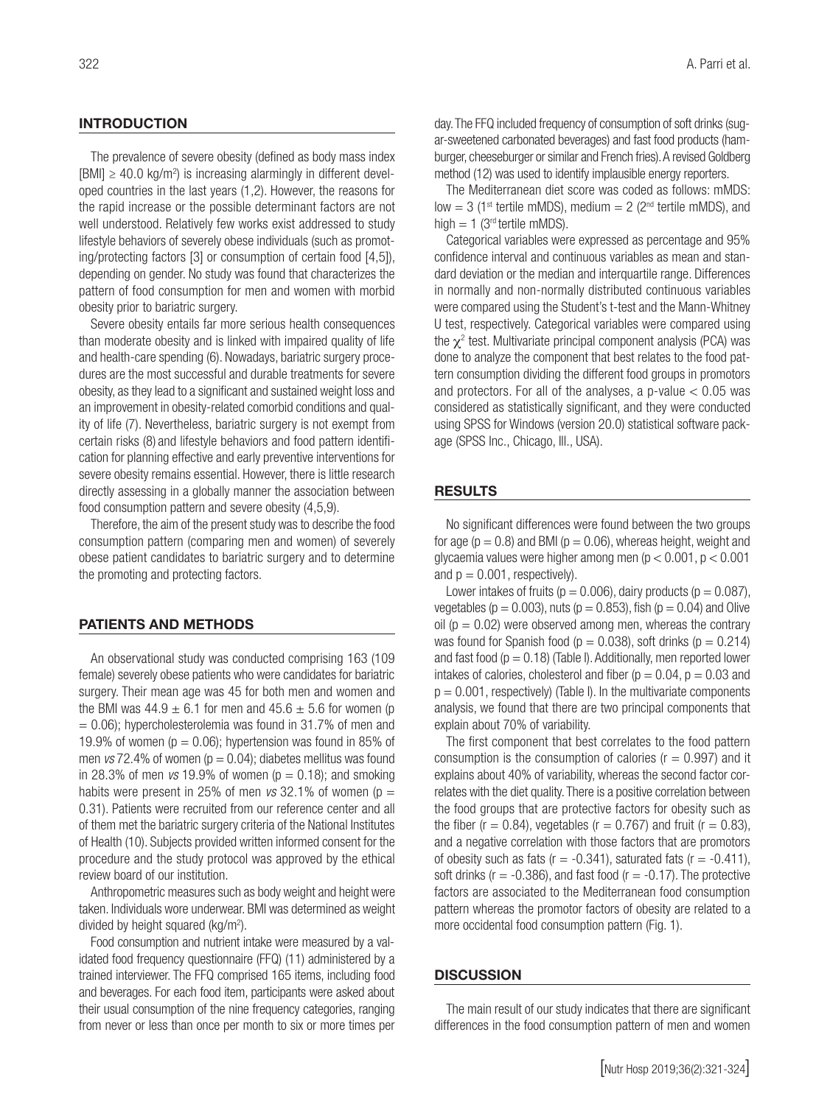#### INTRODUCTION

The prevalence of severe obesity (defined as body mass index  $[BMI] \geq 40.0 \text{ kg/m}^2$ ) is increasing alarmingly in different developed countries in the last years (1,2). However, the reasons for the rapid increase or the possible determinant factors are not well understood. Relatively few works exist addressed to study lifestyle behaviors of severely obese individuals (such as promoting/protecting factors [3] or consumption of certain food [4,5]), depending on gender. No study was found that characterizes the pattern of food consumption for men and women with morbid obesity prior to bariatric surgery.

Severe obesity entails far more serious health consequences than moderate obesity and is linked with impaired quality of life and health-care spending (6). Nowadays, bariatric surgery procedures are the most successful and durable treatments for severe obesity, as they lead to a significant and sustained weight loss and an improvement in obesity-related comorbid conditions and quality of life (7). Nevertheless, bariatric surgery is not exempt from certain risks (8) and lifestyle behaviors and food pattern identification for planning effective and early preventive interventions for severe obesity remains essential. However, there is little research directly assessing in a globally manner the association between food consumption pattern and severe obesity (4,5,9).

Therefore, the aim of the present study was to describe the food consumption pattern (comparing men and women) of severely obese patient candidates to bariatric surgery and to determine the promoting and protecting factors.

#### PATIENTS AND METHODS

An observational study was conducted comprising 163 (109 female) severely obese patients who were candidates for bariatric surgery. Their mean age was 45 for both men and women and the BMI was  $44.9 \pm 6.1$  for men and  $45.6 \pm 5.6$  for women (p  $= 0.06$ ; hypercholesterolemia was found in 31.7% of men and 19.9% of women ( $p = 0.06$ ); hypertension was found in 85% of men  $\textit{vs}$  72.4% of women ( $p = 0.04$ ); diabetes mellitus was found in 28.3% of men  $vs$  19.9% of women ( $p = 0.18$ ); and smoking habits were present in 25% of men  $vs$  32.1% of women ( $p =$ 0.31). Patients were recruited from our reference center and all of them met the bariatric surgery criteria of the National Institutes of Health (10). Subjects provided written informed consent for the procedure and the study protocol was approved by the ethical review board of our institution.

Anthropometric measures such as body weight and height were taken. Individuals wore underwear. BMI was determined as weight divided by height squared (kg/m<sup>2</sup>).

Food consumption and nutrient intake were measured by a validated food frequency questionnaire (FFQ) (11) administered by a trained interviewer. The FFQ comprised 165 items, including food and beverages. For each food item, participants were asked about their usual consumption of the nine frequency categories, ranging from never or less than once per month to six or more times per day. The FFQ included frequency of consumption of soft drinks (sugar-sweetened carbonated beverages) and fast food products (hamburger, cheeseburger or similar and French fries). A revised Goldberg method (12) was used to identify implausible energy reporters.

The Mediterranean diet score was coded as follows: mMDS: low = 3 (1<sup>st</sup> tertile mMDS), medium = 2 ( $2<sup>nd</sup>$  tertile mMDS), and high  $= 1$  (3<sup>rd</sup> tertile mMDS).

Categorical variables were expressed as percentage and 95% confidence interval and continuous variables as mean and standard deviation or the median and interquartile range. Differences in normally and non-normally distributed continuous variables were compared using the Student's t-test and the Mann-Whitney U test, respectively. Categorical variables were compared using the  $\chi^2$  test. Multivariate principal component analysis (PCA) was done to analyze the component that best relates to the food pattern consumption dividing the different food groups in promotors and protectors. For all of the analyses, a p-value  $< 0.05$  was considered as statistically significant, and they were conducted using SPSS for Windows (version 20.0) statistical software package (SPSS Inc., Chicago, Ill., USA).

#### RESULTS

No significant differences were found between the two groups for age ( $p = 0.8$ ) and BMI ( $p = 0.06$ ), whereas height, weight and glycaemia values were higher among men (p < 0.001, p < 0.001 and  $p = 0.001$ , respectively).

Lower intakes of fruits ( $p = 0.006$ ), dairy products ( $p = 0.087$ ), vegetables ( $p = 0.003$ ), nuts ( $p = 0.853$ ), fish ( $p = 0.04$ ) and Olive oil ( $p = 0.02$ ) were observed among men, whereas the contrary was found for Spanish food ( $p = 0.038$ ), soft drinks ( $p = 0.214$ ) and fast food ( $p = 0.18$ ) (Table I). Additionally, men reported lower intakes of calories, cholesterol and fiber ( $p = 0.04$ ,  $p = 0.03$  and  $p = 0.001$ , respectively) (Table I). In the multivariate components analysis, we found that there are two principal components that explain about 70% of variability.

The first component that best correlates to the food pattern consumption is the consumption of calories ( $r = 0.997$ ) and it explains about 40% of variability, whereas the second factor correlates with the diet quality. There is a positive correlation between the food groups that are protective factors for obesity such as the fiber ( $r = 0.84$ ), vegetables ( $r = 0.767$ ) and fruit ( $r = 0.83$ ), and a negative correlation with those factors that are promotors of obesity such as fats  $(r = -0.341)$ , saturated fats  $(r = -0.411)$ , soft drinks ( $r = -0.386$ ), and fast food ( $r = -0.17$ ). The protective factors are associated to the Mediterranean food consumption pattern whereas the promotor factors of obesity are related to a more occidental food consumption pattern (Fig. 1).

#### **DISCUSSION**

The main result of our study indicates that there are significant differences in the food consumption pattern of men and women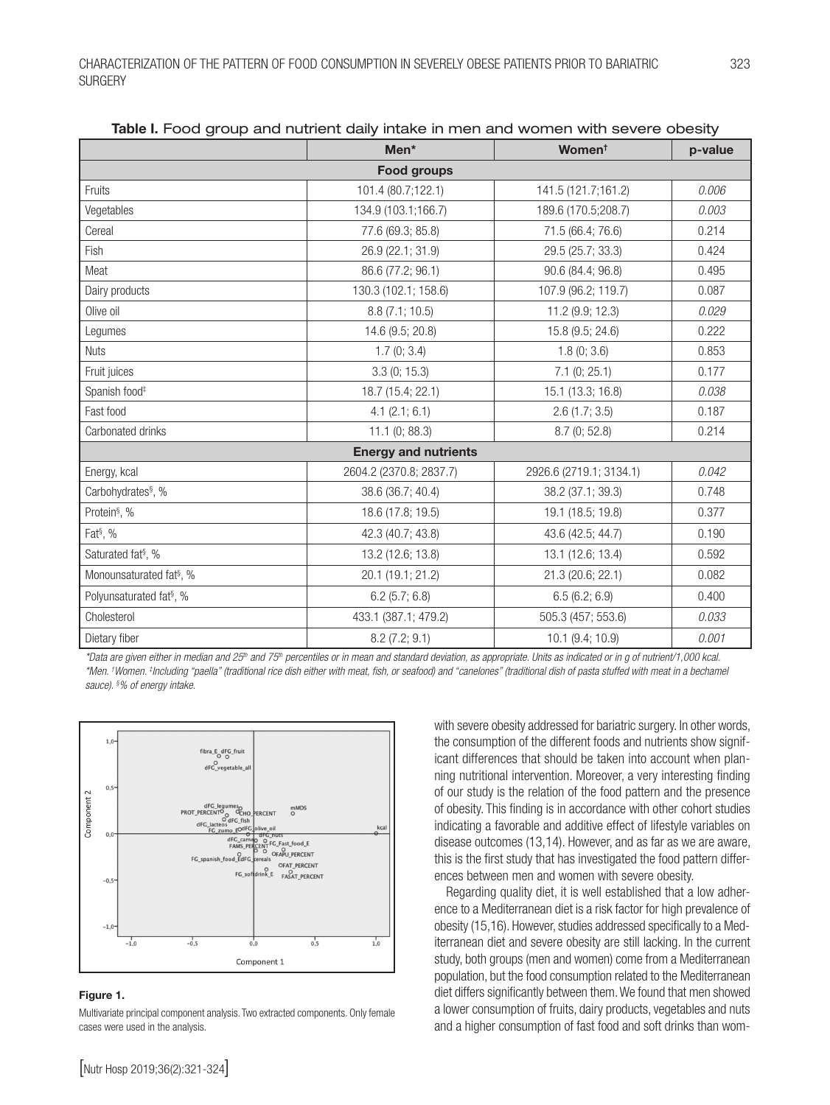|                                      | Men*                        | Women <sup>t</sup>      | p-value |
|--------------------------------------|-----------------------------|-------------------------|---------|
| <b>Food groups</b>                   |                             |                         |         |
| Fruits                               | 101.4 (80.7;122.1)          | 141.5 (121.7;161.2)     | 0.006   |
| Vegetables                           | 134.9 (103.1;166.7)         | 189.6 (170.5;208.7)     | 0.003   |
| Cereal                               | 77.6 (69.3; 85.8)           | 71.5 (66.4; 76.6)       | 0.214   |
| Fish                                 | 26.9 (22.1; 31.9)           | 29.5 (25.7; 33.3)       | 0.424   |
| Meat                                 | 86.6 (77.2; 96.1)           | 90.6 (84.4; 96.8)       | 0.495   |
| Dairy products                       | 130.3 (102.1; 158.6)        | 107.9 (96.2; 119.7)     | 0.087   |
| Olive oil                            | 8.8 (7.1; 10.5)             | 11.2 (9.9; 12.3)        | 0.029   |
| Legumes                              | 14.6 (9.5; 20.8)            | 15.8 (9.5; 24.6)        | 0.222   |
| <b>Nuts</b>                          | 1.7(0; 3.4)                 | 1.8(0; 3.6)             | 0.853   |
| Fruit juices                         | 3.3(0; 15.3)                | 7.1(0; 25.1)            | 0.177   |
| Spanish food <sup>#</sup>            | 18.7 (15.4; 22.1)           | 15.1 (13.3; 16.8)       | 0.038   |
| Fast food                            | 4.1 (2.1; 6.1)              | 2.6(1.7; 3.5)           | 0.187   |
| Carbonated drinks                    | 11.1(0; 88.3)               | 8.7(0; 52.8)            | 0.214   |
|                                      | <b>Energy and nutrients</b> |                         |         |
| Energy, kcal                         | 2604.2 (2370.8; 2837.7)     | 2926.6 (2719.1; 3134.1) | 0.042   |
| Carbohydrates <sup>§</sup> , %       | 38.6 (36.7; 40.4)           | 38.2 (37.1; 39.3)       | 0.748   |
| Protein <sup>§</sup> , %             | 18.6 (17.8; 19.5)           | 19.1 (18.5; 19.8)       | 0.377   |
| Fat <sup>§</sup> , %                 | 42.3 (40.7; 43.8)           | 43.6 (42.5; 44.7)       | 0.190   |
| Saturated fat <sup>§</sup> , %       | 13.2 (12.6; 13.8)           | 13.1 (12.6; 13.4)       | 0.592   |
| Monounsaturated fat <sup>§</sup> , % | 20.1 (19.1; 21.2)           | 21.3 (20.6; 22.1)       | 0.082   |
| Polyunsaturated fat <sup>§</sup> , % | 6.2(5.7; 6.8)               | 6.5(6.2; 6.9)           | 0.400   |
| Cholesterol                          | 433.1 (387.1; 479.2)        | 505.3 (457; 553.6)      | 0.033   |
| Dietary fiber                        | 8.2(7.2; 9.1)               | 10.1 (9.4; 10.9)        | 0.001   |

Table I. Food group and nutrient daily intake in men and women with severe obesity

*\*Data are given either in median and 25th and 75th percentiles or in mean and standard deviation, as appropriate. Units as indicated or in g of nutrient/1,000 kcal. \*Men. † Women. ‡ Including "paella" (traditional rice dish either with meat, fish, or seafood) and "canelones" (traditional dish of pasta stuffed with meat in a bechamel sauce). § % of energy intake.*



#### Figure 1.

Multivariate principal component analysis. Two extracted components. Only female cases were used in the analysis.

with severe obesity addressed for bariatric surgery. In other words, the consumption of the different foods and nutrients show significant differences that should be taken into account when planning nutritional intervention. Moreover, a very interesting finding of our study is the relation of the food pattern and the presence of obesity. This finding is in accordance with other cohort studies indicating a favorable and additive effect of lifestyle variables on disease outcomes (13,14). However, and as far as we are aware, this is the first study that has investigated the food pattern differences between men and women with severe obesity.

Regarding quality diet, it is well established that a low adherence to a Mediterranean diet is a risk factor for high prevalence of obesity (15,16). However, studies addressed specifically to a Mediterranean diet and severe obesity are still lacking. In the current study, both groups (men and women) come from a Mediterranean population, but the food consumption related to the Mediterranean diet differs significantly between them. We found that men showed a lower consumption of fruits, dairy products, vegetables and nuts and a higher consumption of fast food and soft drinks than wom-